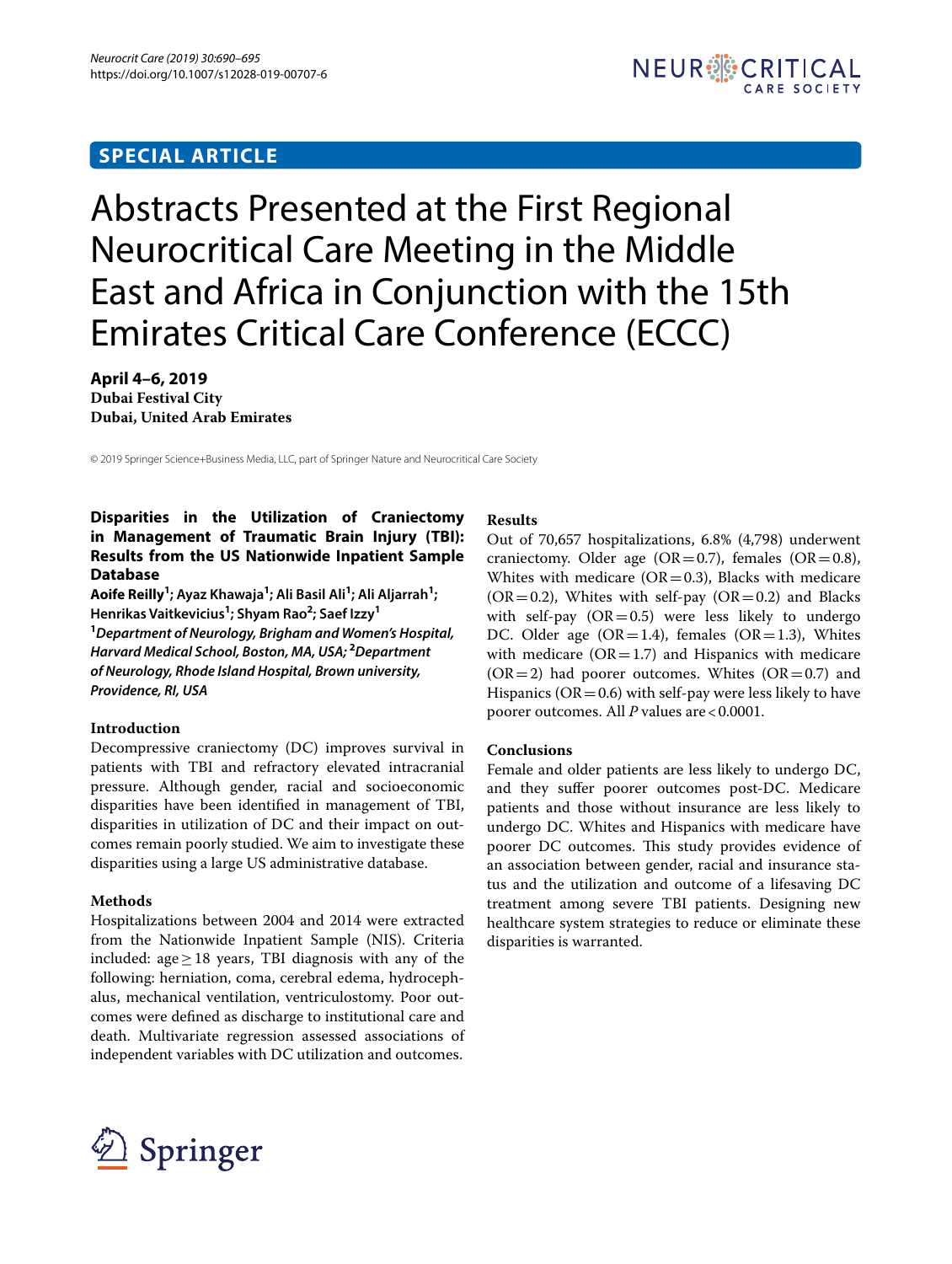## **SPECIAL ARTICLE**

# Abstracts Presented at the First Regional Neurocritical Care Meeting in the Middle East and Africa in Conjunction with the 15th Emirates Critical Care Conference (ECCC)

**April 4–6, 2019 Dubai Festival City Dubai, United Arab Emirates**

© 2019 Springer Science+Business Media, LLC, part of Springer Nature and Neurocritical Care Society

## **Disparities in the Utilization of Craniectomy in Management of Traumatic Brain Injury (TBI): Results from the US Nationwide Inpatient Sample Database**

**Aoife Reilly1 ; Ayaz Khawaja<sup>1</sup> ; Ali Basil Ali<sup>1</sup> ; Ali Aljarrah<sup>1</sup> ; Henrikas Vaitkevicius<sup>1</sup> ; Shyam Rao<sup>2</sup> ; Saef Izzy<sup>1</sup> 1** *Department of Neurology, Brigham and Women's Hospital, Harvard Medical School, Boston, MA, USA;* **<sup>2</sup>** *Department of Neurology, Rhode Island Hospital, Brown university, Providence, RI, USA*

## **Introduction**

Decompressive craniectomy (DC) improves survival in patients with TBI and refractory elevated intracranial pressure. Although gender, racial and socioeconomic disparities have been identifed in management of TBI, disparities in utilization of DC and their impact on outcomes remain poorly studied. We aim to investigate these disparities using a large US administrative database.

## **Methods**

Hospitalizations between 2004 and 2014 were extracted from the Nationwide Inpatient Sample (NIS). Criteria included: age≥18 years, TBI diagnosis with any of the following: herniation, coma, cerebral edema, hydrocephalus, mechanical ventilation, ventriculostomy. Poor outcomes were defned as discharge to institutional care and death. Multivariate regression assessed associations of independent variables with DC utilization and outcomes.

#### **Results**

Out of 70,657 hospitalizations, 6.8% (4,798) underwent craniectomy. Older age  $(OR=0.7)$ , females  $(OR=0.8)$ , Whites with medicare ( $OR = 0.3$ ), Blacks with medicare  $(OR = 0.2)$ , Whites with self-pay  $(OR = 0.2)$  and Blacks with self-pay  $(OR=0.5)$  were less likely to undergo DC. Older age  $(OR=1.4)$ , females  $(OR=1.3)$ , Whites with medicare  $(OR = 1.7)$  and Hispanics with medicare  $(OR=2)$  had poorer outcomes. Whites  $(OR=0.7)$  and Hispanics ( $OR = 0.6$ ) with self-pay were less likely to have poorer outcomes. All *P* values are <0.0001.

## **Conclusions**

Female and older patients are less likely to undergo DC, and they sufer poorer outcomes post-DC. Medicare patients and those without insurance are less likely to undergo DC. Whites and Hispanics with medicare have poorer DC outcomes. This study provides evidence of an association between gender, racial and insurance status and the utilization and outcome of a lifesaving DC treatment among severe TBI patients. Designing new healthcare system strategies to reduce or eliminate these disparities is warranted.

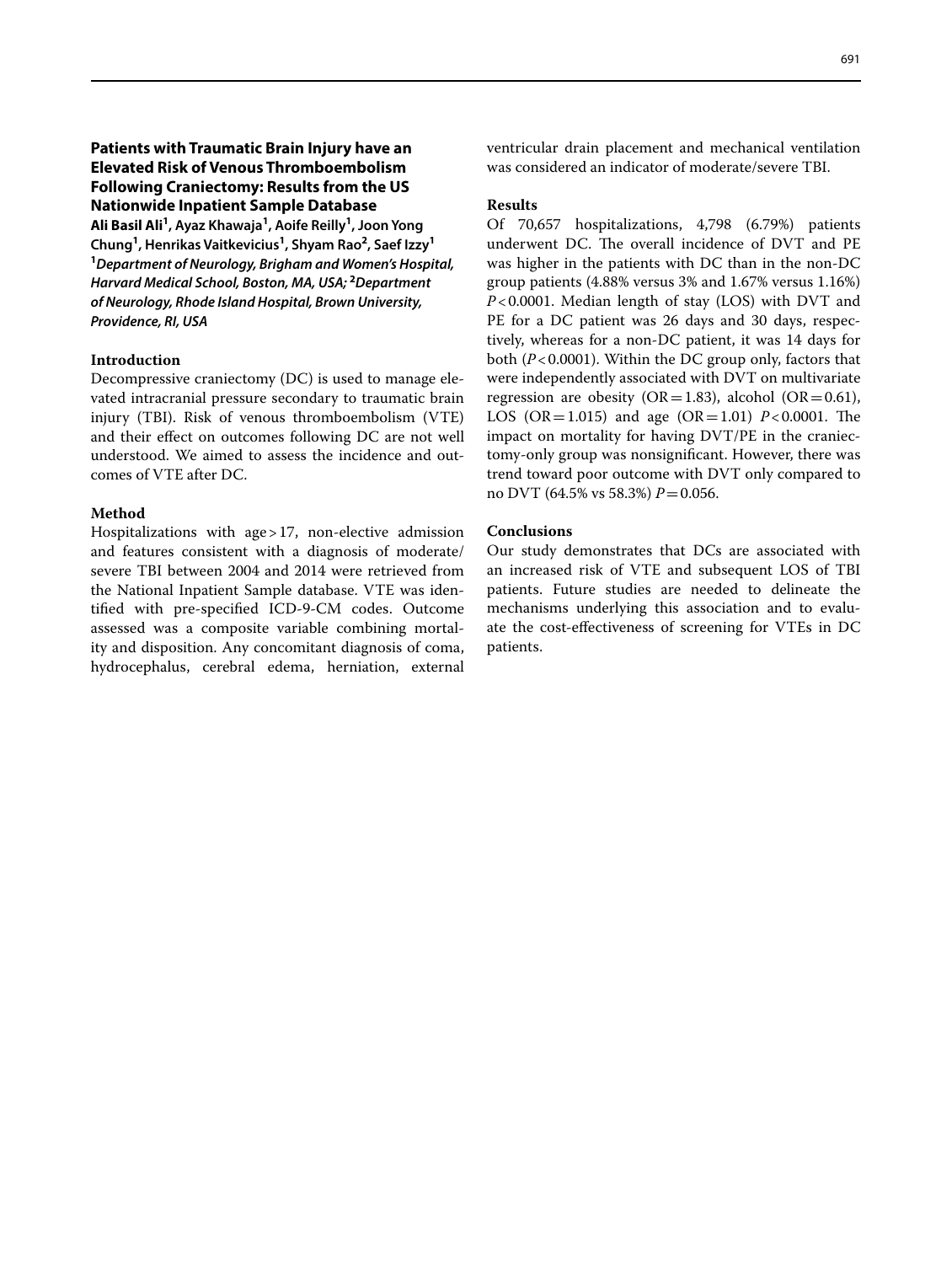## **Patients with Traumatic Brain Injury have an Elevated Risk of Venous Thromboembolism Following Craniectomy: Results from the US Nationwide Inpatient Sample Database**

**Ali Basil Ali1 , Ayaz Khawaja<sup>1</sup> , Aoife Reilly<sup>1</sup> , Joon Yong Chung<sup>1</sup> , Henrikas Vaitkevicius<sup>1</sup> , Shyam Rao<sup>2</sup> , Saef Izzy<sup>1</sup> 1** *Department of Neurology, Brigham and Women's Hospital, Harvard Medical School, Boston, MA, USA;* **<sup>2</sup>** *Department of Neurology, Rhode Island Hospital, Brown University, Providence, RI, USA*

#### **Introduction**

Decompressive craniectomy (DC) is used to manage elevated intracranial pressure secondary to traumatic brain injury (TBI). Risk of venous thromboembolism (VTE) and their efect on outcomes following DC are not well understood. We aimed to assess the incidence and outcomes of VTE after DC.

#### **Method**

Hospitalizations with age>17, non-elective admission and features consistent with a diagnosis of moderate/ severe TBI between 2004 and 2014 were retrieved from the National Inpatient Sample database. VTE was identifed with pre-specifed ICD-9-CM codes. Outcome assessed was a composite variable combining mortality and disposition. Any concomitant diagnosis of coma, hydrocephalus, cerebral edema, herniation, external ventricular drain placement and mechanical ventilation was considered an indicator of moderate/severe TBI.

#### **Results**

Of 70,657 hospitalizations, 4,798 (6.79%) patients underwent DC. The overall incidence of DVT and PE was higher in the patients with DC than in the non-DC group patients (4.88% versus 3% and 1.67% versus 1.16%) *P*<0.0001. Median length of stay (LOS) with DVT and PE for a DC patient was 26 days and 30 days, respectively, whereas for a non-DC patient, it was 14 days for both (*P*<0.0001). Within the DC group only, factors that were independently associated with DVT on multivariate regression are obesity (OR=1.83), alcohol (OR=0.61), LOS (OR=1.015) and age (OR=1.01)  $P < 0.0001$ . The impact on mortality for having DVT/PE in the craniectomy-only group was nonsignifcant. However, there was trend toward poor outcome with DVT only compared to no DVT (64.5% vs 58.3%) *P*=0.056.

## **Conclusions**

Our study demonstrates that DCs are associated with an increased risk of VTE and subsequent LOS of TBI patients. Future studies are needed to delineate the mechanisms underlying this association and to evaluate the cost-efectiveness of screening for VTEs in DC patients.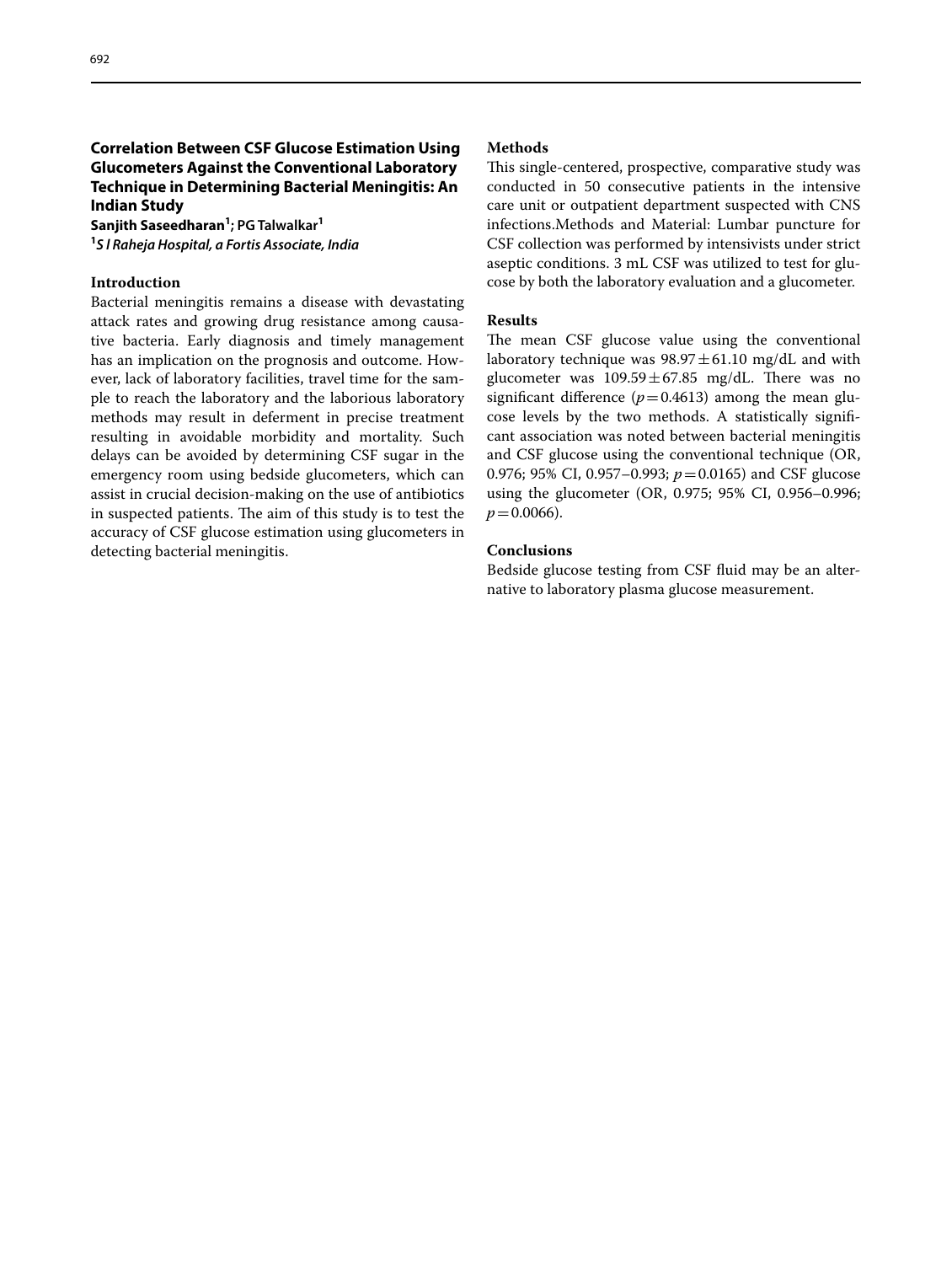## **Correlation Between CSF Glucose Estimation Using Glucometers Against the Conventional Laboratory Technique in Determining Bacterial Meningitis: An Indian Study**

**Sanjith Saseedharan1 ; PG Talwalkar<sup>1</sup> 1** *S l Raheja Hospital, a Fortis Associate, India*

## **Introduction**

Bacterial meningitis remains a disease with devastating attack rates and growing drug resistance among causative bacteria. Early diagnosis and timely management has an implication on the prognosis and outcome. However, lack of laboratory facilities, travel time for the sample to reach the laboratory and the laborious laboratory methods may result in deferment in precise treatment resulting in avoidable morbidity and mortality. Such delays can be avoided by determining CSF sugar in the emergency room using bedside glucometers, which can assist in crucial decision-making on the use of antibiotics in suspected patients. The aim of this study is to test the accuracy of CSF glucose estimation using glucometers in detecting bacterial meningitis.

#### **Methods**

This single-centered, prospective, comparative study was conducted in 50 consecutive patients in the intensive care unit or outpatient department suspected with CNS infections.Methods and Material: Lumbar puncture for CSF collection was performed by intensivists under strict aseptic conditions. 3 mL CSF was utilized to test for glucose by both the laboratory evaluation and a glucometer.

## **Results**

The mean CSF glucose value using the conventional laboratory technique was  $98.97 \pm 61.10$  mg/dL and with glucometer was  $109.59 \pm 67.85$  mg/dL. There was no significant difference  $(p=0.4613)$  among the mean glucose levels by the two methods. A statistically signifcant association was noted between bacterial meningitis and CSF glucose using the conventional technique (OR, 0.976; 95% CI, 0.957–0.993; *p*=0.0165) and CSF glucose using the glucometer (OR, 0.975; 95% CI, 0.956–0.996;  $p = 0.0066$ ).

## **Conclusions**

Bedside glucose testing from CSF fuid may be an alternative to laboratory plasma glucose measurement.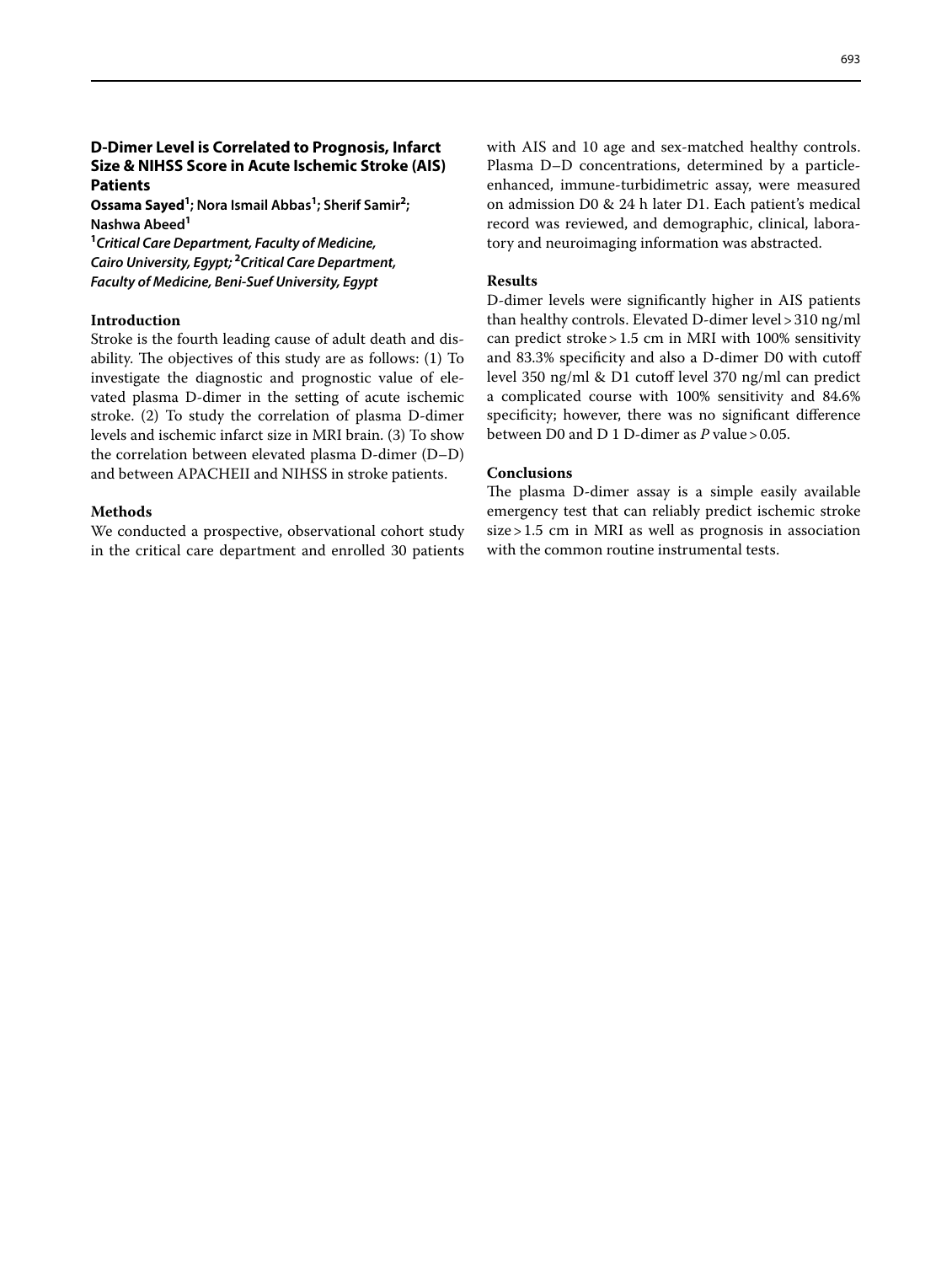## **D‑Dimer Level is Correlated to Prognosis, Infarct Size & NIHSS Score in Acute Ischemic Stroke (AIS) Patients**

**Ossama Sayed<sup>1</sup> ; Nora Ismail Abbas<sup>1</sup> ; Sherif Samir<sup>2</sup> ; Nashwa Abeed<sup>1</sup>**

**1** *Critical Care Department, Faculty of Medicine, Cairo University, Egypt;* **<sup>2</sup>** *Critical Care Department, Faculty of Medicine, Beni-Suef University, Egypt*

#### **Introduction**

Stroke is the fourth leading cause of adult death and disability. The objectives of this study are as follows:  $(1)$  To investigate the diagnostic and prognostic value of elevated plasma D-dimer in the setting of acute ischemic stroke. (2) To study the correlation of plasma D-dimer levels and ischemic infarct size in MRI brain. (3) To show the correlation between elevated plasma D-dimer (D–D) and between APACHEII and NIHSS in stroke patients.

#### **Methods**

We conducted a prospective, observational cohort study in the critical care department and enrolled 30 patients with AIS and 10 age and sex-matched healthy controls. Plasma D–D concentrations, determined by a particleenhanced, immune-turbidimetric assay, were measured on admission D0 & 24 h later D1. Each patient's medical record was reviewed, and demographic, clinical, laboratory and neuroimaging information was abstracted.

#### **Results**

D-dimer levels were signifcantly higher in AIS patients than healthy controls. Elevated D-dimer level>310 ng/ml can predict stroke>1.5 cm in MRI with 100% sensitivity and 83.3% specifcity and also a D-dimer D0 with cutof level 350 ng/ml & D1 cutof level 370 ng/ml can predict a complicated course with 100% sensitivity and 84.6% specifcity; however, there was no signifcant diference between D0 and D 1 D-dimer as *P* value>0.05.

#### **Conclusions**

The plasma D-dimer assay is a simple easily available emergency test that can reliably predict ischemic stroke size>1.5 cm in MRI as well as prognosis in association with the common routine instrumental tests.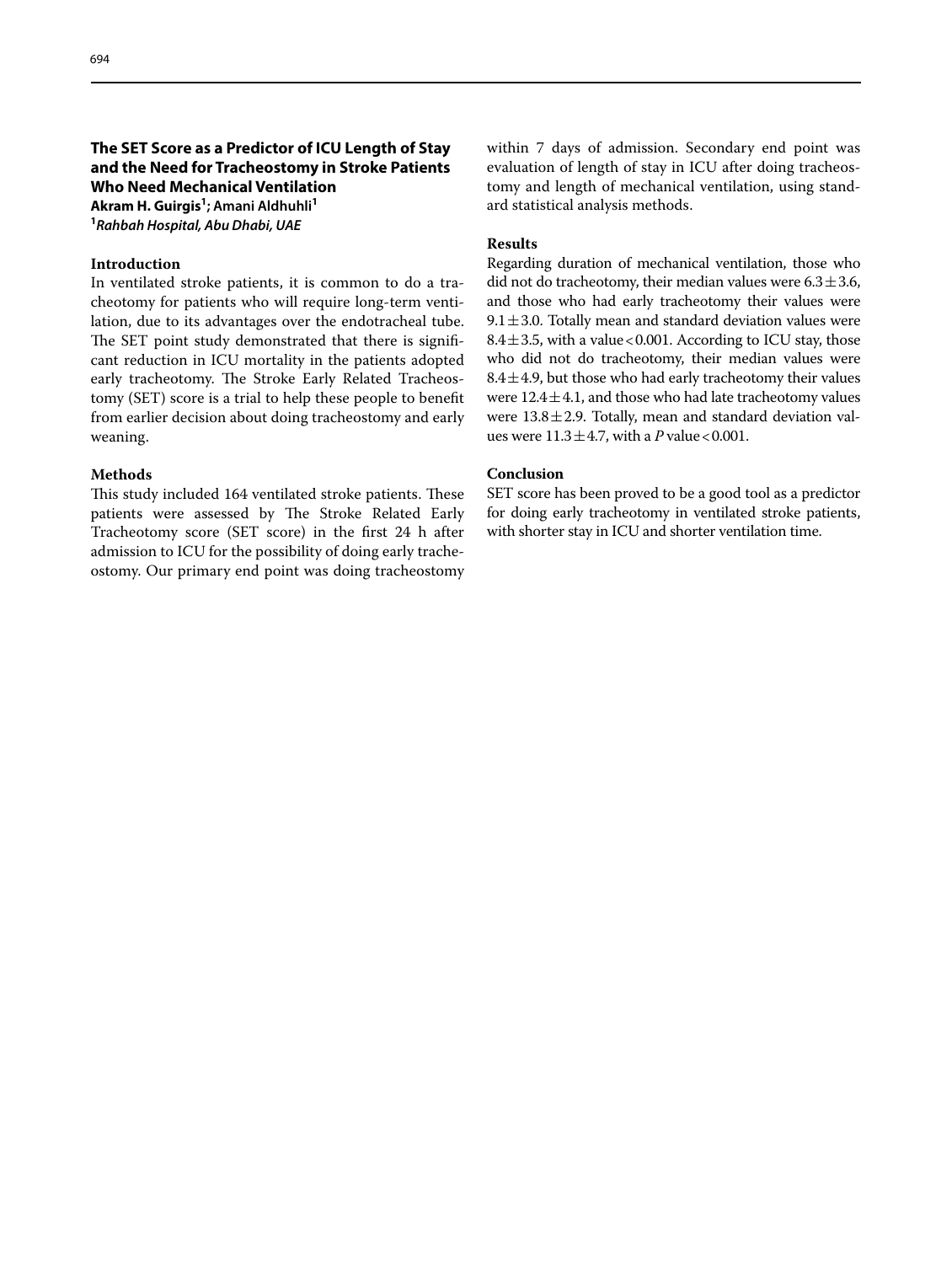## **The SET Score as a Predictor of ICU Length of Stay and the Need for Tracheostomy in Stroke Patients Who Need Mechanical Ventilation Akram H. Guirgis1 ; Amani Aldhuhli<sup>1</sup>**

**1** *Rahbah Hospital, Abu Dhabi, UAE*

#### **Introduction**

In ventilated stroke patients, it is common to do a tracheotomy for patients who will require long-term ventilation, due to its advantages over the endotracheal tube. The SET point study demonstrated that there is significant reduction in ICU mortality in the patients adopted early tracheotomy. The Stroke Early Related Tracheostomy (SET) score is a trial to help these people to beneft from earlier decision about doing tracheostomy and early weaning.

#### **Methods**

This study included 164 ventilated stroke patients. These patients were assessed by The Stroke Related Early Tracheotomy score (SET score) in the frst 24 h after admission to ICU for the possibility of doing early tracheostomy. Our primary end point was doing tracheostomy within 7 days of admission. Secondary end point was evaluation of length of stay in ICU after doing tracheostomy and length of mechanical ventilation, using standard statistical analysis methods.

#### **Results**

Regarding duration of mechanical ventilation, those who did not do tracheotomy, their median values were  $6.3 \pm 3.6$ , and those who had early tracheotomy their values were 9.1 $\pm$ 3.0. Totally mean and standard deviation values were 8.4 $\pm$ 3.5, with a value < 0.001. According to ICU stay, those who did not do tracheotomy, their median values were  $8.4 \pm 4.9$ , but those who had early tracheotomy their values were  $12.4 \pm 4.1$ , and those who had late tracheotomy values were  $13.8 \pm 2.9$ . Totally, mean and standard deviation values were  $11.3 \pm 4.7$ , with a *P* value < 0.001.

## **Conclusion**

SET score has been proved to be a good tool as a predictor for doing early tracheotomy in ventilated stroke patients, with shorter stay in ICU and shorter ventilation time.